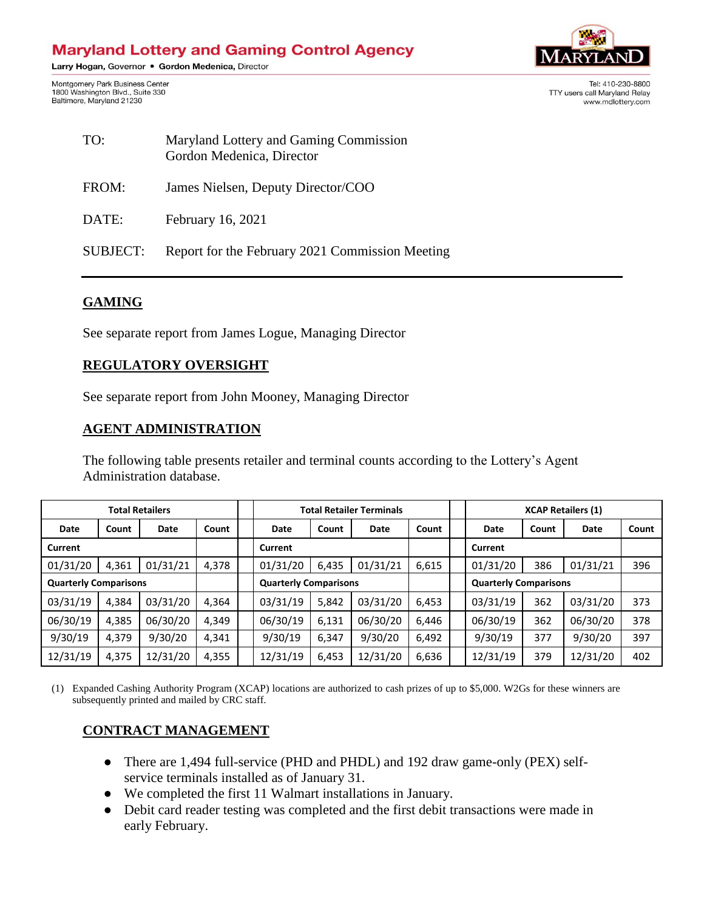# **Maryland Lottery and Gaming Control Agency**

Larry Hogan, Governor . Gordon Medenica, Director

Montgomery Park Business Center 1800 Washington Blvd., Suite 330 Baltimore, Maryland 21230



Tel: 410-230-8800 TTY users call Marvland Relay www.mdlottery.com

| TO:             | Maryland Lottery and Gaming Commission<br>Gordon Medenica, Director |
|-----------------|---------------------------------------------------------------------|
| FROM:           | James Nielsen, Deputy Director/COO                                  |
| DATE:           | February 16, 2021                                                   |
| <b>SUBJECT:</b> | Report for the February 2021 Commission Meeting                     |

### **GAMING**

See separate report from James Logue, Managing Director

#### **REGULATORY OVERSIGHT**

See separate report from John Mooney, Managing Director

#### **AGENT ADMINISTRATION**

The following table presents retailer and terminal counts according to the Lottery's Agent Administration database.

| <b>Total Retailers</b>       |       |          |                              | <b>Total Retailer Terminals</b> |       |                              | <b>XCAP Retailers (1)</b> |          |       |          |       |
|------------------------------|-------|----------|------------------------------|---------------------------------|-------|------------------------------|---------------------------|----------|-------|----------|-------|
| Date                         | Count | Date     | Count                        | Date                            | Count | Date                         | Count                     | Date     | Count | Date     | Count |
| Current                      |       |          |                              | Current                         |       |                              |                           | Current  |       |          |       |
| 01/31/20                     | 4,361 | 01/31/21 | 4,378                        | 01/31/20                        | 6,435 | 01/31/21                     | 6,615                     | 01/31/20 | 386   | 01/31/21 | 396   |
| <b>Quarterly Comparisons</b> |       |          | <b>Quarterly Comparisons</b> |                                 |       | <b>Quarterly Comparisons</b> |                           |          |       |          |       |
| 03/31/19                     | 4,384 | 03/31/20 | 4,364                        | 03/31/19                        | 5,842 | 03/31/20                     | 6,453                     | 03/31/19 | 362   | 03/31/20 | 373   |
| 06/30/19                     | 4,385 | 06/30/20 | 4,349                        | 06/30/19                        | 6,131 | 06/30/20                     | 6,446                     | 06/30/19 | 362   | 06/30/20 | 378   |
| 9/30/19                      | 4,379 | 9/30/20  | 4,341                        | 9/30/19                         | 6,347 | 9/30/20                      | 6,492                     | 9/30/19  | 377   | 9/30/20  | 397   |
| 12/31/19                     | 4,375 | 12/31/20 | 4,355                        | 12/31/19                        | 6,453 | 12/31/20                     | 6,636                     | 12/31/19 | 379   | 12/31/20 | 402   |

(1) Expanded Cashing Authority Program (XCAP) locations are authorized to cash prizes of up to \$5,000. W2Gs for these winners are subsequently printed and mailed by CRC staff.

#### **CONTRACT MANAGEMENT**

- There are 1,494 full-service (PHD and PHDL) and 192 draw game-only (PEX) selfservice terminals installed as of January 31.
- We completed the first 11 Walmart installations in January.
- Debit card reader testing was completed and the first debit transactions were made in early February.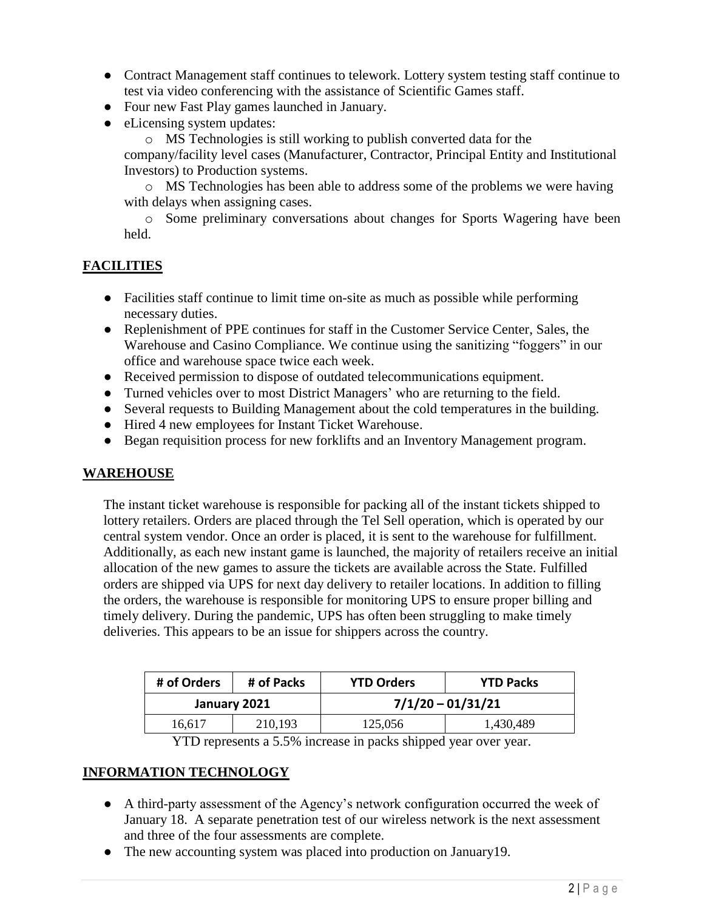- Contract Management staff continues to telework. Lottery system testing staff continue to test via video conferencing with the assistance of Scientific Games staff.
- Four new Fast Play games launched in January.
- eLicensing system updates:

o MS Technologies is still working to publish converted data for the company/facility level cases (Manufacturer, Contractor, Principal Entity and Institutional Investors) to Production systems.

o MS Technologies has been able to address some of the problems we were having with delays when assigning cases.

o Some preliminary conversations about changes for Sports Wagering have been held.

## **FACILITIES**

- Facilities staff continue to limit time on-site as much as possible while performing necessary duties.
- Replenishment of PPE continues for staff in the Customer Service Center, Sales, the Warehouse and Casino Compliance. We continue using the sanitizing "foggers" in our office and warehouse space twice each week.
- Received permission to dispose of outdated telecommunications equipment.
- Turned vehicles over to most District Managers' who are returning to the field.
- Several requests to Building Management about the cold temperatures in the building.
- Hired 4 new employees for Instant Ticket Warehouse.
- Began requisition process for new forklifts and an Inventory Management program.

## **WAREHOUSE**

The instant ticket warehouse is responsible for packing all of the instant tickets shipped to lottery retailers. Orders are placed through the Tel Sell operation, which is operated by our central system vendor. Once an order is placed, it is sent to the warehouse for fulfillment. Additionally, as each new instant game is launched, the majority of retailers receive an initial allocation of the new games to assure the tickets are available across the State. Fulfilled orders are shipped via UPS for next day delivery to retailer locations. In addition to filling the orders, the warehouse is responsible for monitoring UPS to ensure proper billing and timely delivery. During the pandemic, UPS has often been struggling to make timely deliveries. This appears to be an issue for shippers across the country.

| # of Orders | # of Packs   | <b>YTD Orders</b>   | <b>YTD Packs</b> |  |  |
|-------------|--------------|---------------------|------------------|--|--|
|             | January 2021 | $7/1/20 - 01/31/21$ |                  |  |  |
| 16.617      | 210,193      | 125,056             | 1,430,489        |  |  |

YTD represents a 5.5% increase in packs shipped year over year.

## **INFORMATION TECHNOLOGY**

- A third-party assessment of the Agency's network configuration occurred the week of January 18. A separate penetration test of our wireless network is the next assessment and three of the four assessments are complete.
- The new accounting system was placed into production on January 19.